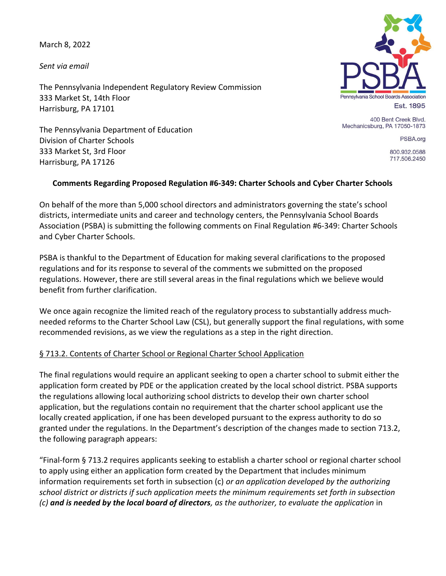March 8, 2022

Sent via email

The Pennsylvania Independent Regulatory Review Commission 333 Market St, 14th Floor Harrisburg, PA 17101

The Pennsylvania Department of Education Division of Charter Schools 333 Market St, 3rd Floor Harrisburg, PA 17126



400 Bent Creek Blvd. Mechanicsburg, PA 17050-1873

PSBA.org

800.932.0588 717.506.2450

## Comments Regarding Proposed Regulation #6-349: Charter Schools and Cyber Charter Schools

On behalf of the more than 5,000 school directors and administrators governing the state's school districts, intermediate units and career and technology centers, the Pennsylvania School Boards Association (PSBA) is submitting the following comments on Final Regulation #6-349: Charter Schools and Cyber Charter Schools.

PSBA is thankful to the Department of Education for making several clarifications to the proposed regulations and for its response to several of the comments we submitted on the proposed regulations. However, there are still several areas in the final regulations which we believe would benefit from further clarification.

We once again recognize the limited reach of the regulatory process to substantially address muchneeded reforms to the Charter School Law (CSL), but generally support the final regulations, with some recommended revisions, as we view the regulations as a step in the right direction.

## § 713.2. Contents of Charter School or Regional Charter School Application

The final regulations would require an applicant seeking to open a charter school to submit either the application form created by PDE or the application created by the local school district. PSBA supports the regulations allowing local authorizing school districts to develop their own charter school application, but the regulations contain no requirement that the charter school applicant use the locally created application, if one has been developed pursuant to the express authority to do so granted under the regulations. In the Department's description of the changes made to section 713.2, the following paragraph appears:

"Final-form § 713.2 requires applicants seeking to establish a charter school or regional charter school to apply using either an application form created by the Department that includes minimum information requirements set forth in subsection  $(c)$  or an application developed by the authorizing school district or districts if such application meets the minimum requirements set forth in subsection  $(c)$  and is needed by the local board of directors, as the authorizer, to evaluate the application in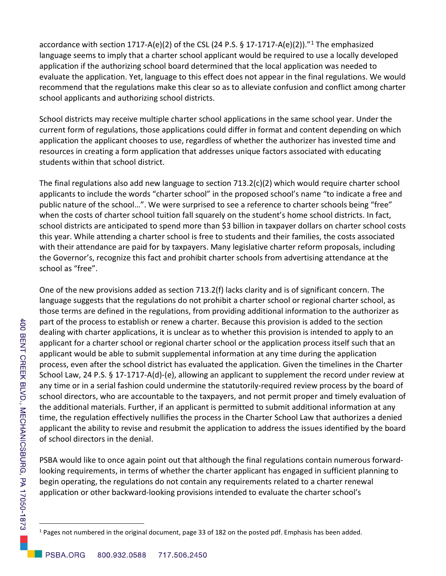accordance with section 1717-A(e)(2) of the CSL (24 P.S. § 17-1717-A(e)(2))."<sup>1</sup> The emphasized language seems to imply that a charter school applicant would be required to use a locally developed application if the authorizing school board determined that the local application was needed to evaluate the application. Yet, language to this effect does not appear in the final regulations. We would recommend that the regulations make this clear so as to alleviate confusion and conflict among charter school applicants and authorizing school districts.

School districts may receive multiple charter school applications in the same school year. Under the current form of regulations, those applications could differ in format and content depending on which application the applicant chooses to use, regardless of whether the authorizer has invested time and resources in creating a form application that addresses unique factors associated with educating students within that school district.

The final regulations also add new language to section 713.2(c)(2) which would require charter school applicants to include the words "charter school" in the proposed school's name "to indicate a free and public nature of the school…". We were surprised to see a reference to charter schools being "free" when the costs of charter school tuition fall squarely on the student's home school districts. In fact, school districts are anticipated to spend more than \$3 billion in taxpayer dollars on charter school costs this year. While attending a charter school is free to students and their families, the costs associated with their attendance are paid for by taxpayers. Many legislative charter reform proposals, including the Governor's, recognize this fact and prohibit charter schools from advertising attendance at the school as "free".

One of the new provisions added as section 713.2(f) lacks clarity and is of significant concern. The language suggests that the regulations do not prohibit a charter school or regional charter school, as those terms are defined in the regulations, from providing additional information to the authorizer as part of the process to establish or renew a charter. Because this provision is added to the section dealing with charter applications, it is unclear as to whether this provision is intended to apply to an applicant for a charter school or regional charter school or the application process itself such that an applicant would be able to submit supplemental information at any time during the application process, even after the school district has evaluated the application. Given the timelines in the Charter School Law, 24 P.S. § 17-1717-A(d)-(e), allowing an applicant to supplement the record under review at any time or in a serial fashion could undermine the statutorily-required review process by the board of school directors, who are accountable to the taxpayers, and not permit proper and timely evaluation of the additional materials. Further, if an applicant is permitted to submit additional information at any time, the regulation effectively nullifies the process in the Charter School Law that authorizes a denied applicant the ability to revise and resubmit the application to address the issues identified by the board of school directors in the denial.

PSBA would like to once again point out that although the final regulations contain numerous forwardlooking requirements, in terms of whether the charter applicant has engaged in sufficient planning to begin operating, the regulations do not contain any requirements related to a charter renewal application or other backward-looking provisions intended to evaluate the charter school's

<sup>&</sup>lt;sup>1</sup> Pages not numbered in the original document, page 33 of 182 on the posted pdf. Emphasis has been added.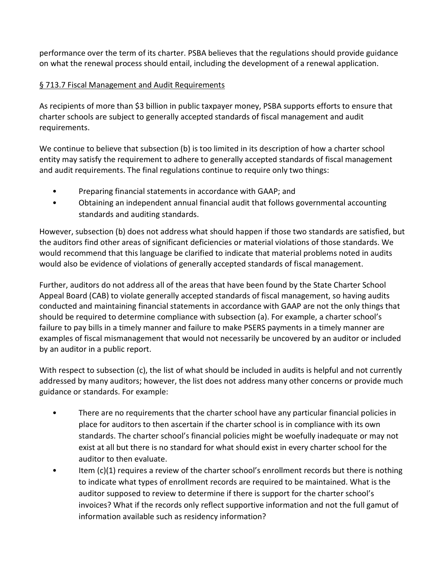performance over the term of its charter. PSBA believes that the regulations should provide guidance on what the renewal process should entail, including the development of a renewal application.

## § 713.7 Fiscal Management and Audit Requirements

As recipients of more than \$3 billion in public taxpayer money, PSBA supports efforts to ensure that charter schools are subject to generally accepted standards of fiscal management and audit requirements.

We continue to believe that subsection (b) is too limited in its description of how a charter school entity may satisfy the requirement to adhere to generally accepted standards of fiscal management and audit requirements. The final regulations continue to require only two things:

- Preparing financial statements in accordance with GAAP; and
- Obtaining an independent annual financial audit that follows governmental accounting standards and auditing standards.

However, subsection (b) does not address what should happen if those two standards are satisfied, but the auditors find other areas of significant deficiencies or material violations of those standards. We would recommend that this language be clarified to indicate that material problems noted in audits would also be evidence of violations of generally accepted standards of fiscal management.

Further, auditors do not address all of the areas that have been found by the State Charter School Appeal Board (CAB) to violate generally accepted standards of fiscal management, so having audits conducted and maintaining financial statements in accordance with GAAP are not the only things that should be required to determine compliance with subsection (a). For example, a charter school's failure to pay bills in a timely manner and failure to make PSERS payments in a timely manner are examples of fiscal mismanagement that would not necessarily be uncovered by an auditor or included by an auditor in a public report.

With respect to subsection (c), the list of what should be included in audits is helpful and not currently addressed by many auditors; however, the list does not address many other concerns or provide much guidance or standards. For example:

- There are no requirements that the charter school have any particular financial policies in place for auditors to then ascertain if the charter school is in compliance with its own standards. The charter school's financial policies might be woefully inadequate or may not exist at all but there is no standard for what should exist in every charter school for the auditor to then evaluate.
- Item  $(c)(1)$  requires a review of the charter school's enrollment records but there is nothing to indicate what types of enrollment records are required to be maintained. What is the auditor supposed to review to determine if there is support for the charter school's invoices? What if the records only reflect supportive information and not the full gamut of information available such as residency information?